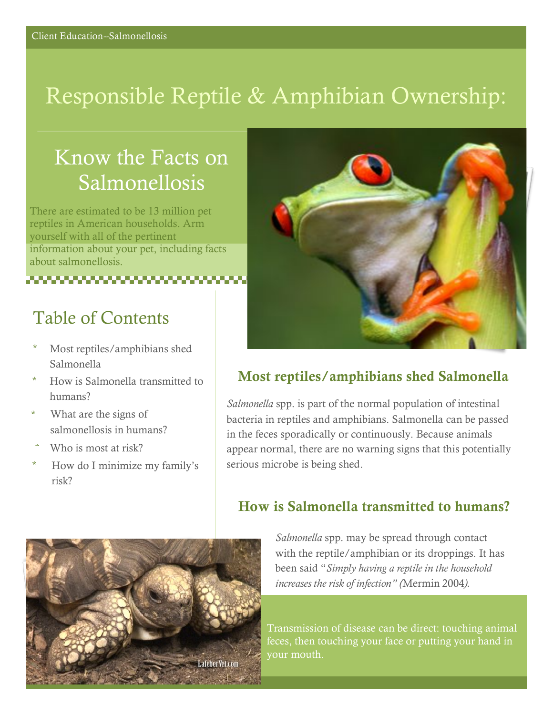# Responsible Reptile & Amphibian Ownership:

## Know the Facts on Salmonellosis

There are estimated to be 13 million pet reptiles in American households. Arm yourself with all of the pertinent information about your pet, including facts about salmonellosis.

### Table of Contents

- \* Most reptiles/amphibians shed Salmonella
- \* How is Salmonella transmitted to humans?
- \* What are the signs of salmonellosis in humans?
- Who is most at risk?
- \* How do I minimize my family's risk?



#### Most reptiles/amphibians shed Salmonella

*Salmonella* spp. is part of the normal population of intestinal bacteria in reptiles and amphibians. Salmonella can be passed in the feces sporadically or continuously. Because animals appear normal, there are no warning signs that this potentially serious microbe is being shed.

#### How is Salmonella transmitted to humans?



*Salmonella* spp. may be spread through contact with the reptile/amphibian or its droppings. It has been said "*Simply having a reptile in the household increases the risk of infection" (*Mermin 2004*).* 

Transmission of disease can be direct: touching animal feces, then touching your face or putting your hand in your mouth.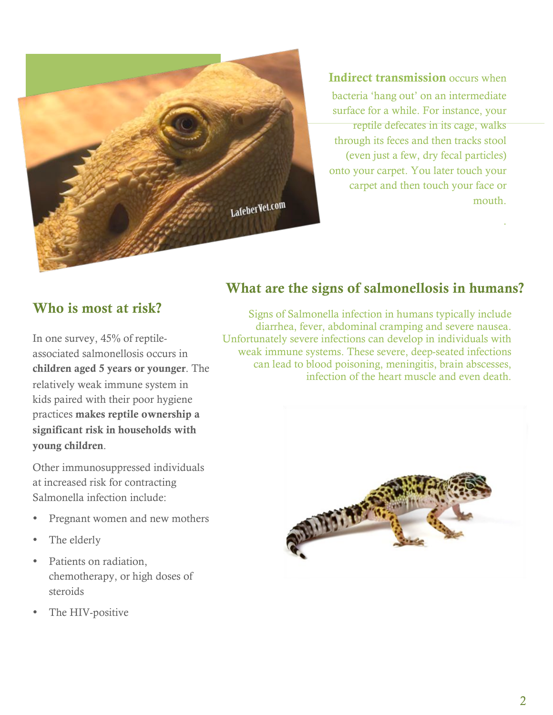

Indirect transmission occurs when bacteria 'hang out' on an intermediate surface for a while. For instance, your reptile defecates in its cage, walks through its feces and then tracks stool (even just a few, dry fecal particles) onto your carpet. You later touch your carpet and then touch your face or mouth.

.

#### Who is most at risk?

In one survey, 45% of reptileassociated salmonellosis occurs in children aged 5 years or younger. The relatively weak immune system in kids paired with their poor hygiene practices makes reptile ownership a significant risk in households with young children.

Other immunosuppressed individuals at increased risk for contracting Salmonella infection include:

- Pregnant women and new mothers
- The elderly
- Patients on radiation, chemotherapy, or high doses of steroids
- The HIV-positive

#### What are the signs of salmonellosis in humans?

Signs of Salmonella infection in humans typically include diarrhea, fever, abdominal cramping and severe nausea. Unfortunately severe infections can develop in individuals with weak immune systems. These severe, deep-seated infections can lead to blood poisoning, meningitis, brain abscesses, infection of the heart muscle and even death.